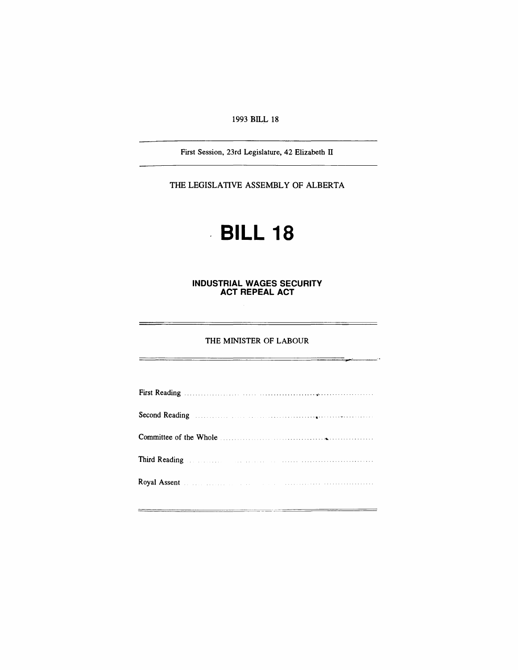1993 BILL 18

First Session, 23rd Legislature, 42 Elizabeth IT

THE LEGISLATIVE ASSEMBLY OF ALBERTA

# . **BILL 18**

**INDUSTRIAL WAGES SECURITY ACT REPEAL ACT**

#### THE MINISTER OF LABOUR

 $\overline{\phantom{a}}$ 

Ŀ.

| Second Reading encourage and the continuum entries and all the second Reading                                                                                                                                                  |
|--------------------------------------------------------------------------------------------------------------------------------------------------------------------------------------------------------------------------------|
|                                                                                                                                                                                                                                |
| Third Reading Manuscript and the contract of the contract of the contract of the contract of the contract of the contract of the contract of the contract of the contract of the contract of the contract of the contract of t |
| Royal Assent Maria Maria and the contract of the contract of the contract of the contract of the contract of the contract of the contract of the contract of the contract of the contract of the contract of the contract of t |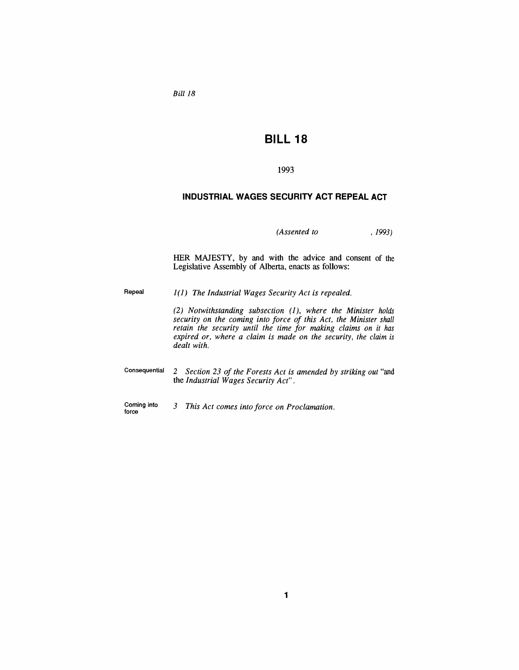Bill 18

## **BILL 18**

#### 1993

#### **INDUSTRIAL WAGES SECURITY ACT REPEAL ACT**

*(Assented to* , 1993)

HER MAJESTY, by and with the advice and consent of the Legislative Assembly of Alberta, enacts as follows:

Repeal 1(1) *The Industrial Wages Security Act is repealed.*

*(2) Notwithstanding subsection* (1), *where the Minister holds security on the coming into force of this Act, the Minister shall retain the security until the time for making claims on* it *has expired or, where a claim is made on the security, the claim is dealt with.*

Consequential 2 *Section* 23 *of the Forests Act is amended by striking out* "and the *Industrial Wages Security Act".*

force

Coming into 3 *This Act comes into force on Proclamation.*